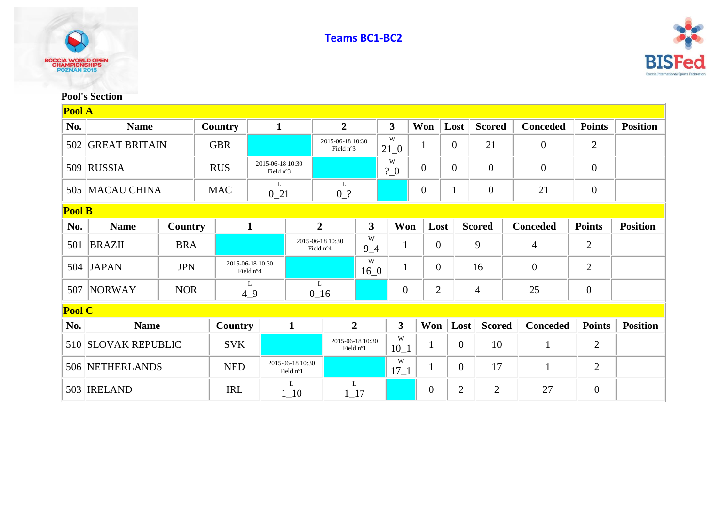



## **Pool's Section**

| Pool A        |                      |            |            |                               |                                            |                               |              |                  |                |                |                |                 |                  |                 |
|---------------|----------------------|------------|------------|-------------------------------|--------------------------------------------|-------------------------------|--------------|------------------|----------------|----------------|----------------|-----------------|------------------|-----------------|
| No.           | <b>Name</b>          | Country    |            | $\mathbf{1}$                  | $\overline{2}$                             |                               |              | $\mathbf{3}$     | Won            | Lost           | <b>Scored</b>  | <b>Conceded</b> | <b>Points</b>    | <b>Position</b> |
| 502           | <b>GREAT BRITAIN</b> |            | <b>GBR</b> |                               |                                            | 2015-06-18 10:30<br>Field n°3 |              | W<br>$21\_0$     | $\mathbf{1}$   | $\overline{0}$ | 21             | $\mathbf{0}$    | $\overline{2}$   |                 |
|               | 509 RUSSIA           |            | <b>RUS</b> | 2015-06-18 10:30<br>Field n°3 |                                            |                               |              | W<br>$?$ 0       | $\overline{0}$ | $\overline{0}$ | $\overline{0}$ | $\theta$        | $\theta$         |                 |
|               | 505 MACAU CHINA      |            | <b>MAC</b> |                               | $\mathbf{L}$<br>$0_21$<br>$0$ <sup>2</sup> |                               |              |                  | $\overline{0}$ | $\mathbf{1}$   | $\mathbf{0}$   | 21              | $\mathbf{0}$     |                 |
| <b>Pool B</b> |                      |            |            |                               |                                            |                               |              |                  |                |                |                |                 |                  |                 |
| No.           | <b>Name</b>          | Country    |            | $\mathbf{1}$                  | $\overline{2}$                             |                               | $\mathbf{3}$ | Won              | Lost           |                | <b>Scored</b>  | <b>Conceded</b> | <b>Points</b>    | <b>Position</b> |
| 501           | <b>BRAZIL</b>        | <b>BRA</b> |            |                               | 2015-06-18 10:30<br>Field n°4              |                               | W<br>$9 - 4$ | $\mathbf{1}$     | $\overline{0}$ |                | 9              | $\overline{4}$  | $\overline{2}$   |                 |
|               | 504 JAPAN            | <b>JPN</b> |            | 2015-06-18 10:30<br>Field n°4 |                                            |                               | W<br>$16_0$  | $\mathbf{1}$     | $\overline{0}$ |                | 16             | $\overline{0}$  | $\overline{2}$   |                 |
|               | 507 NORWAY           | <b>NOR</b> |            | L<br>49                       | L<br>$0_{16}$                              |                               |              | $\boldsymbol{0}$ | $\overline{2}$ |                | $\overline{4}$ | 25              | $\boldsymbol{0}$ |                 |
| <b>Pool C</b> |                      |            |            |                               |                                            |                               |              |                  |                |                |                |                 |                  |                 |
| No.           | <b>Name</b>          |            | Country    |                               | $\mathbf{1}$                               | $\overline{2}$                |              | $\mathbf{3}$     | Won            | Lost           | <b>Scored</b>  | <b>Conceded</b> | <b>Points</b>    | <b>Position</b> |
|               | 510 SLOVAK REPUBLIC  |            | <b>SVK</b> |                               | 2015-06-18 10:30<br>Field n°1              |                               |              | W<br>$10_1$      | 1              | $\overline{0}$ | 10             | $\mathbf{1}$    | $\mathbf{2}$     |                 |
|               | 506 NETHERLANDS      |            | <b>NED</b> |                               | 2015-06-18 10:30<br>Field n°1              |                               |              | W<br>$17\_1$     | 1              | $\overline{0}$ | 17             | $\mathbf{1}$    | $\overline{2}$   |                 |
|               | 503 <b>IRELAND</b>   |            | <b>IRL</b> | L<br>$1_{-}10$                |                                            | L<br>$1 - 17$                 |              |                  | $\overline{0}$ | $\overline{2}$ | $\overline{2}$ | 27              | $\overline{0}$   |                 |

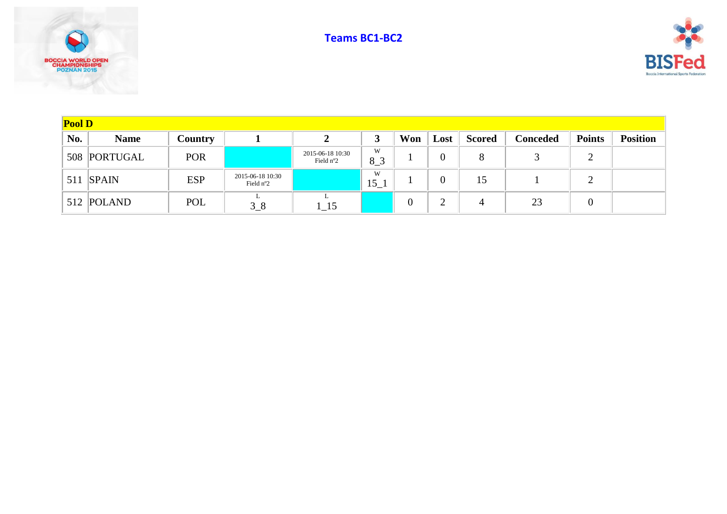





| Pool D |              |                |                                        |                               |              |          |          |               |                 |               |                 |  |
|--------|--------------|----------------|----------------------------------------|-------------------------------|--------------|----------|----------|---------------|-----------------|---------------|-----------------|--|
| No.    | <b>Name</b>  | <b>Country</b> |                                        |                               |              | Won      | Lost     | <b>Scored</b> | <b>Conceded</b> | <b>Points</b> | <b>Position</b> |  |
|        | 508 PORTUGAL | POR            |                                        | 2015-06-18 10:30<br>Field n°2 | W<br>$8-3$   |          | $\theta$ | 8             |                 | ∠             |                 |  |
|        | $511$ SPAIN  | <b>ESP</b>     | 2015-06-18 10:30<br>Field $n^{\circ}2$ |                               | W<br>$15\_1$ |          | 0        | 15            |                 | ∠             |                 |  |
|        | 512 POLAND   | POL            | $3-8$                                  |                               |              | $\theta$ |          | 4             | 23              | 0             |                 |  |